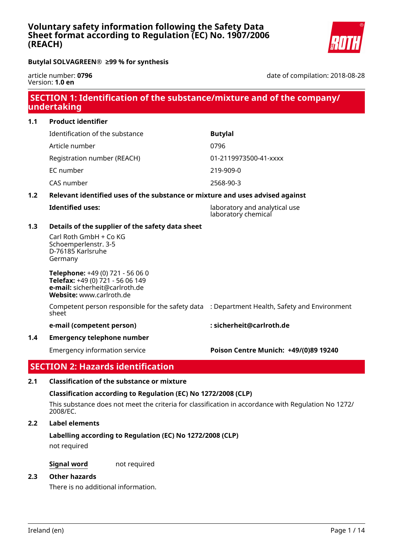# **Voluntary safety information following the Safety Data Sheet format according to Regulation (EC) No. 1907/2006 (REACH)**



**Butylal SOLVAGREEN® ≥99 % for synthesis**

article number: **0796** Version: **1.0 en**

date of compilation: 2018-08-28

# **SECTION 1: Identification of the substance/mixture and of the company/ undertaking**

**1.1 Product identifier** Identification of the substance **Butylal** Article number 0796 Registration number (REACH) 01-2119973500-41-xxxx EC number 219-909-0 CAS number 2568-90-3

# **1.2 Relevant identified uses of the substance or mixture and uses advised against**

| <b>Identified uses:</b> | laboratory and analytical use<br>laboratory chemical |
|-------------------------|------------------------------------------------------|
|                         |                                                      |

# **1.3 Details of the supplier of the safety data sheet**

Carl Roth GmbH + Co KG Schoemperlenstr. 3-5 D-76185 Karlsruhe Germany

**Telephone:** +49 (0) 721 - 56 06 0 **Telefax:** +49 (0) 721 - 56 06 149 **e-mail:** sicherheit@carlroth.de **Website:** www.carlroth.de

Competent person responsible for the safety data : Department Health, Safety and Environment sheet

#### **e-mail (competent person) : sicherheit@carlroth.de**

**1.4 Emergency telephone number**

# Emergency information service **Poison Centre Munich: +49/(0)89 19240**

# **SECTION 2: Hazards identification**

# **2.1 Classification of the substance or mixture**

# **Classification according to Regulation (EC) No 1272/2008 (CLP)**

This substance does not meet the criteria for classification in accordance with Regulation No 1272/ 2008/EC.

## **2.2 Label elements**

# **Labelling according to Regulation (EC) No 1272/2008 (CLP)**

not required

**Signal word** not required

#### **2.3 Other hazards**

There is no additional information.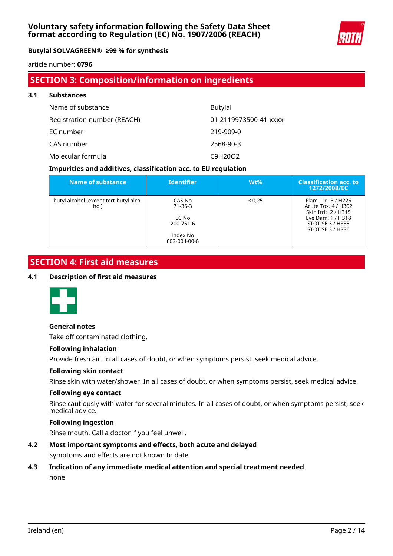

article number: **0796**

# **SECTION 3: Composition/information on ingredients**

| 3.1 | <b>Substances</b>           |                       |  |  |  |  |  |
|-----|-----------------------------|-----------------------|--|--|--|--|--|
|     | Name of substance           | <b>Butylal</b>        |  |  |  |  |  |
|     | Registration number (REACH) | 01-2119973500-41-xxxx |  |  |  |  |  |
|     | EC number                   | 219-909-0             |  |  |  |  |  |
|     | CAS number                  | 2568-90-3             |  |  |  |  |  |
|     | Molecular formula           | C9H20O2               |  |  |  |  |  |

## **Impurities and additives, classification acc. to EU regulation**

| Name of substance                              | <b>Identifier</b>                                                         | $Wt\%$      | <b>Classification acc. to</b><br>1272/2008/EC                                                                                   |
|------------------------------------------------|---------------------------------------------------------------------------|-------------|---------------------------------------------------------------------------------------------------------------------------------|
| butyl alcohol (except tert-butyl alco-<br>hol) | CAS No<br>$71 - 36 - 3$<br>EC No<br>200-751-6<br>Index No<br>603-004-00-6 | $\leq 0.25$ | Flam. Lig. 3 / H226<br>Acute Tox. 4 / H302<br>Skin Irrit, 2 / H315<br>Eye Dam. 1 / H318<br>STOT SE 3 / H335<br>STOT SE 3 / H336 |

# **SECTION 4: First aid measures**

#### **4.1 Description of first aid measures**



#### **General notes**

Take off contaminated clothing.

#### **Following inhalation**

Provide fresh air. In all cases of doubt, or when symptoms persist, seek medical advice.

#### **Following skin contact**

Rinse skin with water/shower. In all cases of doubt, or when symptoms persist, seek medical advice.

#### **Following eye contact**

Rinse cautiously with water for several minutes. In all cases of doubt, or when symptoms persist, seek medical advice.

## **Following ingestion**

Rinse mouth. Call a doctor if you feel unwell.

## **4.2 Most important symptoms and effects, both acute and delayed**

Symptoms and effects are not known to date

# **4.3 Indication of any immediate medical attention and special treatment needed** none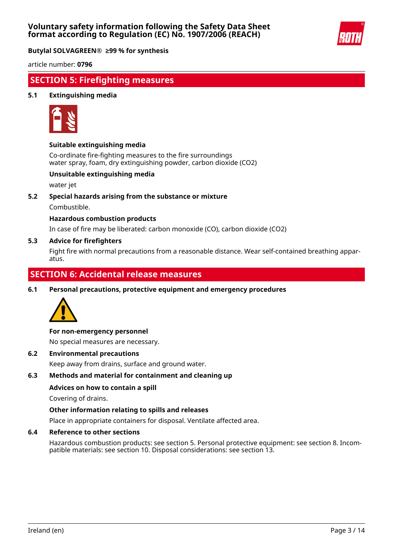

article number: **0796**

# **SECTION 5: Firefighting measures**

#### **5.1 Extinguishing media**



#### **Suitable extinguishing media**

Co-ordinate fire-fighting measures to the fire surroundings water spray, foam, dry extinguishing powder, carbon dioxide (CO2)

#### **Unsuitable extinguishing media**

water jet

**5.2 Special hazards arising from the substance or mixture**

Combustible.

#### **Hazardous combustion products**

In case of fire may be liberated: carbon monoxide (CO), carbon dioxide (CO2)

#### **5.3 Advice for firefighters**

Fight fire with normal precautions from a reasonable distance. Wear self-contained breathing apparatus.

# **SECTION 6: Accidental release measures**

**6.1 Personal precautions, protective equipment and emergency procedures**



#### **For non-emergency personnel**

No special measures are necessary.

**6.2 Environmental precautions**

Keep away from drains, surface and ground water.

#### **6.3 Methods and material for containment and cleaning up**

#### **Advices on how to contain a spill**

Covering of drains.

### **Other information relating to spills and releases**

Place in appropriate containers for disposal. Ventilate affected area.

### **6.4 Reference to other sections**

Hazardous combustion products: see section 5. Personal protective equipment: see section 8. Incompatible materials: see section 10. Disposal considerations: see section 13.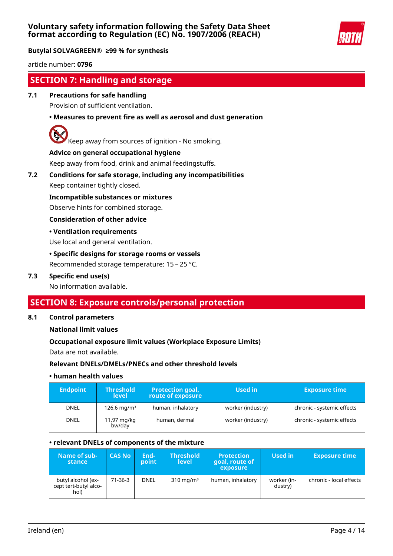

article number: **0796**

# **SECTION 7: Handling and storage**

# **7.1 Precautions for safe handling**

Provision of sufficient ventilation.

# **• Measures to prevent fire as well as aerosol and dust generation**



Keep away from sources of ignition - No smoking.

#### **Advice on general occupational hygiene**

Keep away from food, drink and animal feedingstuffs.

# **7.2 Conditions for safe storage, including any incompatibilities**

Keep container tightly closed.

**Incompatible substances or mixtures**

Observe hints for combined storage.

#### **Consideration of other advice**

#### **• Ventilation requirements**

Use local and general ventilation.

#### **• Specific designs for storage rooms or vessels**

Recommended storage temperature: 15 – 25 °C.

#### **7.3 Specific end use(s)**

No information available.

# **SECTION 8: Exposure controls/personal protection**

#### **8.1 Control parameters**

**National limit values**

#### **Occupational exposure limit values (Workplace Exposure Limits)**

Data are not available.

#### **Relevant DNELs/DMELs/PNECs and other threshold levels**

#### **• human health values**

| <b>Endpoint</b> | <b>Threshold</b><br><b>level</b> | <b>Protection goal,</b><br>route of exposure | Used in           | <b>Exposure time</b>       |
|-----------------|----------------------------------|----------------------------------------------|-------------------|----------------------------|
| <b>DNEL</b>     | $126.6 \,\mathrm{mq/m^3}$        | human, inhalatory                            | worker (industry) | chronic - systemic effects |
| <b>DNEL</b>     | 11,97 mg/kg<br>bw/day            | human, dermal                                | worker (industry) | chronic - systemic effects |

#### **• relevant DNELs of components of the mixture**

| Name of sub-<br>stance                              | <b>CAS No</b> | End-<br>point | <b>Threshold</b><br>level | <b>Protection</b><br>goal, route of<br>exposure | Used in                | <b>Exposure time</b>    |
|-----------------------------------------------------|---------------|---------------|---------------------------|-------------------------------------------------|------------------------|-------------------------|
| butyl alcohol (ex-<br>cept tert-butyl alco-<br>hol) | $71-36-3$     | <b>DNEL</b>   | $310 \text{ mg/m}^3$      | human, inhalatory                               | worker (in-<br>dustry) | chronic - local effects |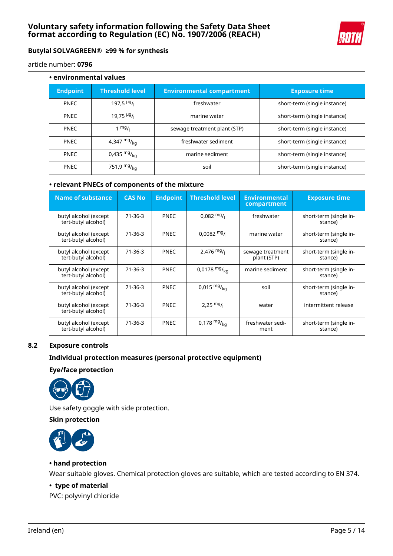

article number: **0796**

| • environmental values |                           |                                  |                              |  |  |  |  |  |
|------------------------|---------------------------|----------------------------------|------------------------------|--|--|--|--|--|
| <b>Endpoint</b>        | <b>Threshold level</b>    | <b>Environmental compartment</b> | <b>Exposure time</b>         |  |  |  |  |  |
| <b>PNEC</b>            | 197,5 $\frac{\mu g}{\mu}$ | freshwater                       | short-term (single instance) |  |  |  |  |  |
| <b>PNEC</b>            | $19,75$ $Hg/1$            | marine water                     | short-term (single instance) |  |  |  |  |  |
| <b>PNEC</b>            | $1 \frac{mg}{l}$          | sewage treatment plant (STP)     | short-term (single instance) |  |  |  |  |  |
| <b>PNEC</b>            | 4,347 $mg/_{kq}$          | freshwater sediment              | short-term (single instance) |  |  |  |  |  |
| <b>PNEC</b>            | 0,435 $mg/_{ka}$          | marine sediment                  | short-term (single instance) |  |  |  |  |  |
| <b>PNEC</b>            | 751,9 $mg/_{ka}$          | soil                             | short-term (single instance) |  |  |  |  |  |

## **• relevant PNECs of components of the mixture**

| <b>Name of substance</b>                     | <b>CAS No</b> | <b>Endpoint</b> | <b>Threshold level</b> | <b>Environmental</b><br>compartment | <b>Exposure time</b>              |
|----------------------------------------------|---------------|-----------------|------------------------|-------------------------------------|-----------------------------------|
| butyl alcohol (except<br>tert-butyl alcohol) | $71 - 36 - 3$ | <b>PNEC</b>     | $0.082 \frac{mg}{l}$   | freshwater                          | short-term (single in-<br>stance) |
| butyl alcohol (except<br>tert-butyl alcohol) | $71 - 36 - 3$ | <b>PNEC</b>     | $0.0082 \frac{mg}{l}$  | marine water                        | short-term (single in-<br>stance) |
| butyl alcohol (except<br>tert-butyl alcohol) | $71 - 36 - 3$ | <b>PNEC</b>     | $2.476$ mg/            | sewage treatment<br>plant (STP)     | short-term (single in-<br>stance) |
| butyl alcohol (except<br>tert-butyl alcohol) | $71-36-3$     | <b>PNEC</b>     | 0,0178 $mg/_{ka}$      | marine sediment                     | short-term (single in-<br>stance) |
| butyl alcohol (except<br>tert-butyl alcohol) | $71 - 36 - 3$ | <b>PNEC</b>     | $0,015 \frac{mg}{ka}$  | soil                                | short-term (single in-<br>stance) |
| butyl alcohol (except<br>tert-butyl alcohol) | 71-36-3       | <b>PNEC</b>     | 2,25 $mg/$             | water                               | intermittent release              |
| butyl alcohol (except<br>tert-butyl alcohol) | $71 - 36 - 3$ | <b>PNEC</b>     | 0,178 $mg/_{kq}$       | freshwater sedi-<br>ment            | short-term (single in-<br>stance) |

# **8.2 Exposure controls**

## **Individual protection measures (personal protective equipment)**

#### **Eye/face protection**



Use safety goggle with side protection.

## **Skin protection**



#### **• hand protection**

Wear suitable gloves. Chemical protection gloves are suitable, which are tested according to EN 374.

### **• type of material**

PVC: polyvinyl chloride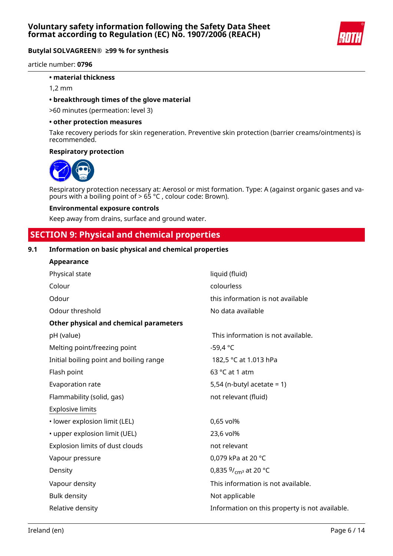

article number: **0796**

#### **• material thickness**

1,2 mm

### **• breakthrough times of the glove material**

>60 minutes (permeation: level 3)

#### **• other protection measures**

Take recovery periods for skin regeneration. Preventive skin protection (barrier creams/ointments) is recommended.

#### **Respiratory protection**



Respiratory protection necessary at: Aerosol or mist formation. Type: A (against organic gases and vapours with a boiling point of > 65 °C , colour code: Brown).

#### **Environmental exposure controls**

Keep away from drains, surface and ground water.

# **SECTION 9: Physical and chemical properties**

## **9.1 Information on basic physical and chemical properties**

| Appearance                              |                                                |
|-----------------------------------------|------------------------------------------------|
| Physical state                          | liquid (fluid)                                 |
| Colour                                  | colourless                                     |
| Odour                                   | this information is not available              |
| Odour threshold                         | No data available                              |
| Other physical and chemical parameters  |                                                |
| pH (value)                              | This information is not available.             |
| Melting point/freezing point            | $-59,4 °C$                                     |
| Initial boiling point and boiling range | 182,5 °C at 1.013 hPa                          |
| Flash point                             | 63 °C at 1 atm                                 |
| Evaporation rate                        | 5,54 (n-butyl acetate = $1$ )                  |
| Flammability (solid, gas)               | not relevant (fluid)                           |
| <b>Explosive limits</b>                 |                                                |
| · lower explosion limit (LEL)           | 0,65 vol%                                      |
| • upper explosion limit (UEL)           | 23,6 vol%                                      |
| Explosion limits of dust clouds         | not relevant                                   |
| Vapour pressure                         | 0,079 kPa at 20 °C                             |
| Density                                 | 0,835 $9/_{cm^3}$ at 20 °C                     |
| Vapour density                          | This information is not available.             |
| <b>Bulk density</b>                     | Not applicable                                 |
| Relative density                        | Information on this property is not available. |
|                                         |                                                |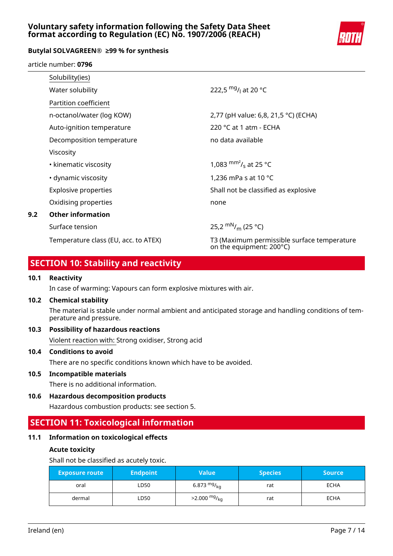# **Voluntary safety information following the Safety Data Sheet format according to Regulation (EC) No. 1907/2006 (REACH)**



## **Butylal SOLVAGREEN® ≥99 % for synthesis**

article number: **0796**

|     | Solubility(ies)                      |                                                                         |
|-----|--------------------------------------|-------------------------------------------------------------------------|
|     | Water solubility                     | 222.5 mg/ <sub>L</sub> at 20 °C                                         |
|     | Partition coefficient                |                                                                         |
|     | n-octanol/water (log KOW)            | 2,77 (pH value: 6,8, 21,5 °C) (ECHA)                                    |
|     | Auto-ignition temperature            | 220 °C at 1 atm - ECHA                                                  |
|     | Decomposition temperature            | no data available                                                       |
|     | Viscosity                            |                                                                         |
|     | • kinematic viscosity                | 1,083 $\text{mm}^2$ / <sub>s</sub> at 25 °C                             |
|     | • dynamic viscosity                  | 1,236 mPa s at 10 $^{\circ}$ C                                          |
|     | <b>Explosive properties</b>          | Shall not be classified as explosive                                    |
|     | Oxidising properties                 | none                                                                    |
| 9.2 | <b>Other information</b>             |                                                                         |
|     | Surface tension                      | 25,2 $\rm{mN}_{/m}$ (25 °C)                                             |
|     | Temperature class (EU, acc. to ATEX) | T3 (Maximum permissible surface temperature<br>on the equipment: 200°C) |

# **SECTION 10: Stability and reactivity**

### **10.1 Reactivity**

In case of warming: Vapours can form explosive mixtures with air.

#### **10.2 Chemical stability**

The material is stable under normal ambient and anticipated storage and handling conditions of temperature and pressure.

# **10.3 Possibility of hazardous reactions**

Violent reaction with: Strong oxidiser, Strong acid

## **10.4 Conditions to avoid**

There are no specific conditions known which have to be avoided.

#### **10.5 Incompatible materials**

There is no additional information.

**10.6 Hazardous decomposition products**

Hazardous combustion products: see section 5.

# **SECTION 11: Toxicological information**

# **11.1 Information on toxicological effects**

#### **Acute toxicity**

Shall not be classified as acutely toxic.

| <b>Exposure route</b> | <b>Endpoint</b> | Value                      | <b>Species</b> | <b>Source</b> |
|-----------------------|-----------------|----------------------------|----------------|---------------|
| oral                  | LD50            | 6.873 $mg/kq$              | rat            | <b>ECHA</b>   |
| dermal                | LD50            | $>2.000$ mg/ <sub>kg</sub> | rat            | <b>ECHA</b>   |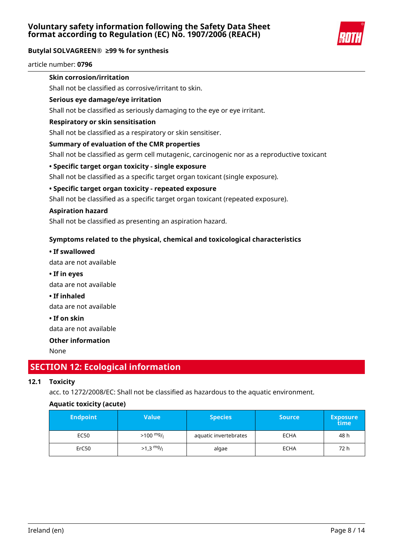

article number: **0796**

# **Skin corrosion/irritation**

Shall not be classified as corrosive/irritant to skin.

## **Serious eye damage/eye irritation**

Shall not be classified as seriously damaging to the eye or eye irritant.

### **Respiratory or skin sensitisation**

Shall not be classified as a respiratory or skin sensitiser.

## **Summary of evaluation of the CMR properties**

Shall not be classified as germ cell mutagenic, carcinogenic nor as a reproductive toxicant

## **• Specific target organ toxicity - single exposure**

Shall not be classified as a specific target organ toxicant (single exposure).

## **• Specific target organ toxicity - repeated exposure**

Shall not be classified as a specific target organ toxicant (repeated exposure).

#### **Aspiration hazard**

Shall not be classified as presenting an aspiration hazard.

# **Symptoms related to the physical, chemical and toxicological characteristics**

**• If swallowed**

data are not available

**• If in eyes**

data are not available

**• If inhaled**

data are not available

**• If on skin**

data are not available

# **Other information**

None

# **SECTION 12: Ecological information**

# **12.1 Toxicity**

acc. to 1272/2008/EC: Shall not be classified as hazardous to the aquatic environment.

# **Aquatic toxicity (acute)**

| <b>Endpoint</b> | Value                   | <b>Species</b>        | <b>Source</b> | <b>Exposure</b><br>time |
|-----------------|-------------------------|-----------------------|---------------|-------------------------|
| EC50            | $>100$ mg/ <sub>1</sub> | aquatic invertebrates | <b>ECHA</b>   | 48 h                    |
| ErC50           | $>1.3$ mg/              | algae                 | <b>ECHA</b>   | 72 h                    |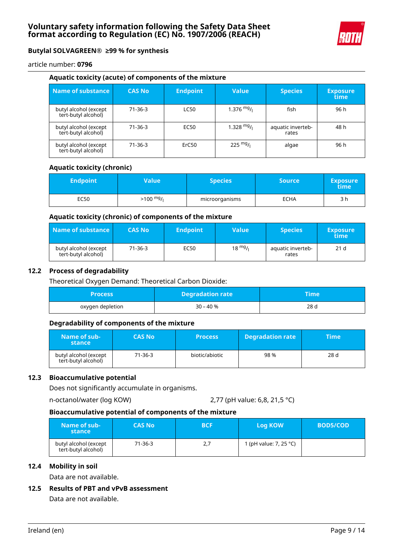

article number: **0796**

#### **Aquatic toxicity (acute) of components of the mixture**

| Name of substance                            | <b>CAS No</b> | <b>Endpoint</b> | <b>Value</b> | <b>Species</b>             | <b>Exposure</b><br>time |
|----------------------------------------------|---------------|-----------------|--------------|----------------------------|-------------------------|
| butyl alcohol (except<br>tert-butyl alcohol) | $71-36-3$     | <b>LC50</b>     | 1.376 $mg/1$ | fish                       | 96 h                    |
| butyl alcohol (except<br>tert-butyl alcohol) | $71-36-3$     | EC50            | $1.328$ mg/  | aquatic inverteb-<br>rates | 48 h                    |
| butyl alcohol (except<br>tert-butyl alcohol) | $71-36-3$     | ErC50           | 225 $mg/$    | algae                      | 96 h                    |

### **Aquatic toxicity (chronic)**

| <b>Endpoint</b> | Value\              | <b>Species</b> | <b>Source</b> | <b>Exposure</b><br>time |
|-----------------|---------------------|----------------|---------------|-------------------------|
| EC50            | $>100 \frac{mg}{l}$ | microorganisms | ECHA          | 3 h                     |

#### **Aquatic toxicity (chronic) of components of the mixture**

| Name of substance                            | <b>CAS No</b> | <b>Endpoint</b> | Value             | <b>Species</b>             | <b>Exposure</b><br>time |
|----------------------------------------------|---------------|-----------------|-------------------|----------------------------|-------------------------|
| butyl alcohol (except<br>tert-butyl alcohol) | 71-36-3       | EC50            | $18 \frac{mg}{l}$ | aquatic inverteb-<br>rates | 21 <sub>d</sub>         |

#### **12.2 Process of degradability**

Theoretical Oxygen Demand: Theoretical Carbon Dioxide:

| Process          | <b>Degradation rate</b> | Time |
|------------------|-------------------------|------|
| oxygen depletion | 30 – 40 %               | 28 d |

#### **Degradability of components of the mixture**

| Name of sub-<br>stance                       | <b>CAS No</b> | <b>Process</b> | <b>Degradation rate</b> | <b>Time</b> |
|----------------------------------------------|---------------|----------------|-------------------------|-------------|
| butyl alcohol (except<br>tert-butyl alcohol) | 71-36-3       | biotic/abiotic | 98%                     | 28 d        |

#### **12.3 Bioaccumulative potential**

Does not significantly accumulate in organisms.

```
n-octanol/water (log KOW) 2,77 (pH value: 6,8, 21,5 °C)
```
#### **Bioaccumulative potential of components of the mixture**

| Name of sub-<br>stance                       | <b>CAS No</b> | <b>BCF</b> | Log KOW                | <b>BOD5/COD</b> |
|----------------------------------------------|---------------|------------|------------------------|-----------------|
| butyl alcohol (except<br>tert-butyl alcohol) | 71-36-3       | 2,7        | 1 (pH value: 7, 25 °C) |                 |

## **12.4 Mobility in soil**

Data are not available.

# **12.5 Results of PBT and vPvB assessment**

Data are not available.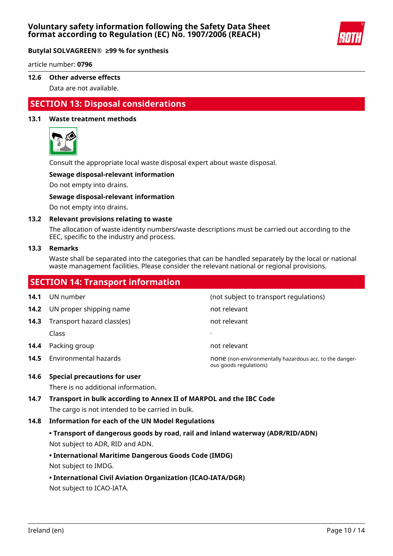

article number: **0796**

#### **12.6 Other adverse effects**

Data are not available.

# **SECTION 13: Disposal considerations**

#### **13.1 Waste treatment methods**



Consult the appropriate local waste disposal expert about waste disposal.

#### **Sewage disposal-relevant information**

Do not empty into drains.

#### **Sewage disposal-relevant information**

Do not empty into drains.

#### **13.2 Relevant provisions relating to waste**

The allocation of waste identity numbers/waste descriptions must be carried out according to the EEC, specific to the industry and process.

#### **13.3 Remarks**

Waste shall be separated into the categories that can be handled separately by the local or national waste management facilities. Please consider the relevant national or regional provisions.

# **SECTION 14: Transport information 14.1** UN number **14.1** UN number **14.1** UN number **14.2** UN proper shipping name not relevant **14.3** Transport hazard class(es) not relevant Class - **14.4** Packing group **not relevant 14.5** Environmental hazards **none (non-environmentally hazardous acc. to the danger**ous goods regulations)

# **14.6 Special precautions for user**

There is no additional information.

# **14.7 Transport in bulk according to Annex II of MARPOL and the IBC Code** The cargo is not intended to be carried in bulk.

#### **14.8 Information for each of the UN Model Regulations**

# **• Transport of dangerous goods by road, rail and inland waterway (ADR/RID/ADN)** Not subject to ADR, RID and ADN.

# **• International Maritime Dangerous Goods Code (IMDG)**

Not subject to IMDG.

# **• International Civil Aviation Organization (ICAO-IATA/DGR)**

Not subject to ICAO-IATA.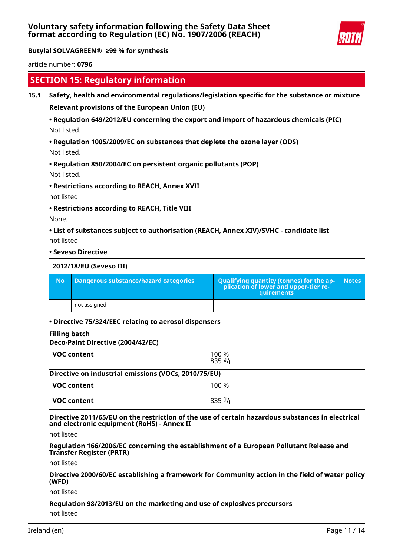

article number: **0796**

# **SECTION 15: Regulatory information**

### **15.1 Safety, health and environmental regulations/legislation specific for the substance or mixture**

**Relevant provisions of the European Union (EU)**

# **• Regulation 649/2012/EU concerning the export and import of hazardous chemicals (PIC)** Not listed.

**• Regulation 1005/2009/EC on substances that deplete the ozone layer (ODS)**

Not listed.

# **• Regulation 850/2004/EC on persistent organic pollutants (POP)** Not listed.

**• Restrictions according to REACH, Annex XVII**

not listed

**• Restrictions according to REACH, Title VIII**

None.

**• List of substances subject to authorisation (REACH, Annex XIV)/SVHC - candidate list** not listed

**• Seveso Directive**

|           | 2012/18/EU (Seveso III)               |                                                                                                   |              |  |
|-----------|---------------------------------------|---------------------------------------------------------------------------------------------------|--------------|--|
| <b>No</b> | Dangerous substance/hazard categories | Qualifying quantity (tonnes) for the application of lower and upper-tier re-<br><b>quirements</b> | <b>Notes</b> |  |
|           | not assigned                          |                                                                                                   |              |  |

# **• Directive 75/324/EEC relating to aerosol dispensers**

#### **Filling batch**

#### **Deco-Paint Directive (2004/42/EC)**

| <b>VOC content</b>                                   | 100 %<br>8359/ |  |  |
|------------------------------------------------------|----------------|--|--|
| Directive on industrial emissions (VOCs, 2010/75/EU) |                |  |  |
| <b>VOC content</b>                                   | 100 %          |  |  |
| <b>VOC content</b>                                   | 8359/          |  |  |

**Directive 2011/65/EU on the restriction of the use of certain hazardous substances in electrical and electronic equipment (RoHS) - Annex II**

not listed

**Regulation 166/2006/EC concerning the establishment of a European Pollutant Release and Transfer Register (PRTR)**

not listed

**Directive 2000/60/EC establishing a framework for Community action in the field of water policy (WFD)**

not listed

# **Regulation 98/2013/EU on the marketing and use of explosives precursors**

not listed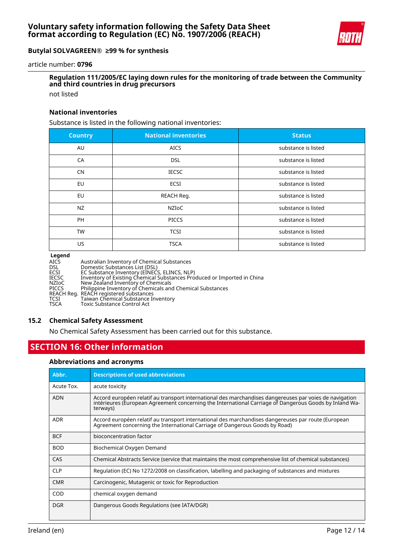

article number: **0796**

# **Regulation 111/2005/EC laying down rules for the monitoring of trade between the Community and third countries in drug precursors**

not listed

#### **National inventories**

Substance is listed in the following national inventories:

| <b>Country</b> | <b>National inventories</b> | <b>Status</b>       |
|----------------|-----------------------------|---------------------|
| AU             | <b>AICS</b>                 | substance is listed |
| CA             | <b>DSL</b>                  | substance is listed |
| <b>CN</b>      | <b>IECSC</b>                | substance is listed |
| EU             | <b>ECSI</b>                 | substance is listed |
| EU             | REACH Req.                  | substance is listed |
| <b>NZ</b>      | NZIoC                       | substance is listed |
| <b>PH</b>      | <b>PICCS</b>                | substance is listed |
| <b>TW</b>      | <b>TCSI</b>                 | substance is listed |
| US.            | <b>TSCA</b>                 | substance is listed |

#### **Legend**

| ------- |                                                                         |
|---------|-------------------------------------------------------------------------|
| AICS    | Australian Inventory of Chemical Substances                             |
| DSL.    | Domestic Substances List (DSL)                                          |
| ECSI    | EC Substance Inventory (EINECS, ELINCS, NLP)                            |
| IECSC   | Inventory of Existing Chemical Substances Produced or Imported in China |
| NZIoC   | New Zealand Inventory of Chemicals                                      |
| PICCS   | Philippine Inventory of Chemicals and Chemical Substances               |
|         | REACH Reg. REACH registered substances                                  |
| TCSI    | Taiwan Chemical Substance Inventory                                     |
| TSCA    | Toxic Substance Control Act                                             |
|         |                                                                         |

#### **15.2 Chemical Safety Assessment**

No Chemical Safety Assessment has been carried out for this substance.

# **SECTION 16: Other information**

#### **Abbreviations and acronyms**

| Abbr.      | <b>Descriptions of used abbreviations</b>                                                                                                                                                                                     |
|------------|-------------------------------------------------------------------------------------------------------------------------------------------------------------------------------------------------------------------------------|
| Acute Tox. | acute toxicity                                                                                                                                                                                                                |
| <b>ADN</b> | Accord européen relatif au transport international des marchandises dangereuses par voies de navigation<br>intérieures (European Agreement concerning the International Carriage of Dangerous Goods by Inland Wa-<br>terways) |
| <b>ADR</b> | Accord européen relatif au transport international des marchandises dangereuses par route (European<br>Agreement concerning the International Carriage of Dangerous Goods by Road)                                            |
| <b>BCF</b> | bioconcentration factor                                                                                                                                                                                                       |
| <b>BOD</b> | Biochemical Oxygen Demand                                                                                                                                                                                                     |
| CAS        | Chemical Abstracts Service (service that maintains the most comprehensive list of chemical substances)                                                                                                                        |
| <b>CLP</b> | Regulation (EC) No 1272/2008 on classification, labelling and packaging of substances and mixtures                                                                                                                            |
| <b>CMR</b> | Carcinogenic, Mutagenic or toxic for Reproduction                                                                                                                                                                             |
| COD        | chemical oxygen demand                                                                                                                                                                                                        |
| <b>DGR</b> | Dangerous Goods Regulations (see IATA/DGR)                                                                                                                                                                                    |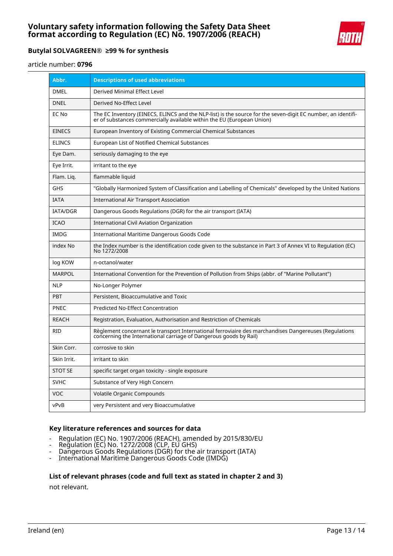

article number: **0796**

| Abbr.           | <b>Descriptions of used abbreviations</b>                                                                                                                                              |
|-----------------|----------------------------------------------------------------------------------------------------------------------------------------------------------------------------------------|
| <b>DMEL</b>     | Derived Minimal Effect Level                                                                                                                                                           |
| <b>DNEL</b>     | Derived No-Effect Level                                                                                                                                                                |
| EC No           | The EC Inventory (EINECS, ELINCS and the NLP-list) is the source for the seven-digit EC number, an identifi-<br>er of substances commercially available within the EU (European Union) |
| <b>EINECS</b>   | European Inventory of Existing Commercial Chemical Substances                                                                                                                          |
| <b>ELINCS</b>   | European List of Notified Chemical Substances                                                                                                                                          |
| Eye Dam.        | seriously damaging to the eye                                                                                                                                                          |
| Eye Irrit.      | irritant to the eye                                                                                                                                                                    |
| Flam. Lig.      | flammable liquid                                                                                                                                                                       |
| <b>GHS</b>      | "Globally Harmonized System of Classification and Labelling of Chemicals" developed by the United Nations                                                                              |
| <b>IATA</b>     | International Air Transport Association                                                                                                                                                |
| <b>IATA/DGR</b> | Dangerous Goods Regulations (DGR) for the air transport (IATA)                                                                                                                         |
| <b>ICAO</b>     | <b>International Civil Aviation Organization</b>                                                                                                                                       |
| <b>IMDG</b>     | International Maritime Dangerous Goods Code                                                                                                                                            |
| index No        | the Index number is the identification code given to the substance in Part 3 of Annex VI to Regulation (EC)<br>No 1272/2008                                                            |
| log KOW         | n-octanol/water                                                                                                                                                                        |
| MARPOL          | International Convention for the Prevention of Pollution from Ships (abbr. of "Marine Pollutant")                                                                                      |
| <b>NLP</b>      | No-Longer Polymer                                                                                                                                                                      |
| <b>PBT</b>      | Persistent, Bioaccumulative and Toxic                                                                                                                                                  |
| <b>PNEC</b>     | Predicted No-Effect Concentration                                                                                                                                                      |
| <b>REACH</b>    | Registration, Evaluation, Authorisation and Restriction of Chemicals                                                                                                                   |
| <b>RID</b>      | Règlement concernant le transport International ferroviaire des marchandises Dangereuses (Regulations<br>concerning the International carriage of Dangerous goods by Rail)             |
| Skin Corr.      | corrosive to skin                                                                                                                                                                      |
| Skin Irrit.     | irritant to skin                                                                                                                                                                       |
| <b>STOT SE</b>  | specific target organ toxicity - single exposure                                                                                                                                       |
| <b>SVHC</b>     | Substance of Very High Concern                                                                                                                                                         |
| VOC             | Volatile Organic Compounds                                                                                                                                                             |
| vPvB            | very Persistent and very Bioaccumulative                                                                                                                                               |

#### **Key literature references and sources for data**

- Regulation (EC) No. 1907/2006 (REACH), amended by 2015/830/EU
- Regulation (EC) No. 1272/2008 (CLP, EU GHS)
- Dangerous Goods Regulations (DGR) for the air transport (IATA)
- International Maritime Dangerous Goods Code (IMDG)

#### **List of relevant phrases (code and full text as stated in chapter 2 and 3)**

not relevant.